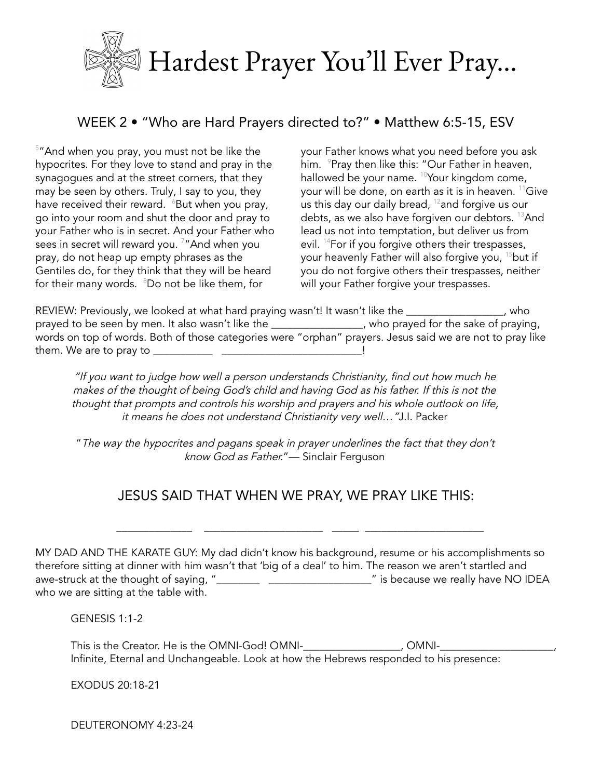

## WEEK 2 . "Who are Hard Prayers directed to?" . Matthew 6:5-15, ESV

<sup>5</sup>"And when you pray, you must not be like the hypocrites. For they love to stand and pray in the synagogues and at the street corners, that they may be seen by others. Truly, I say to you, they have received their reward. <sup>6</sup>But when you pray, go into your room and shut the door and pray to your Father who is in secret. And your Father who sees in secret will reward you.<sup>7</sup> "And when you pray, do not heap up empty phrases as the Gentiles do, for they think that they will be heard for their many words. <sup>8</sup>Do not be like them, for

your Father knows what you need before you ask him. <sup>9</sup>Pray then like this: "Our Father in heaven, hallowed be your name. <sup>10</sup>Your kingdom come, your will be done, on earth as it is in heaven. <sup>11</sup>Give us this day our daily bread,  $^{12}$  and forgive us our debts, as we also have forgiven our debtors. <sup>13</sup>And lead us not into temptation, but deliver us from evil. <sup>14</sup> For if you forgive others their trespasses, your heavenly Father will also forgive you, <sup>15</sup>but if you do not forgive others their trespasses, neither will your Father forgive your trespasses.

REVIEW: Previously, we looked at what hard praying wasn't! It wasn't like the merrorised by who prayed to be seen by men. It also wasn't like the \_\_\_\_\_\_\_\_\_\_\_\_\_\_\_, who prayed for the sake of praying,<br>words on top of words. Both of those categories were "orphan" prayers. Jesus said we are not to pray like 

"If you want to judge how well a person understands Christianity, find out how much he makes of the thought of being God's child and having God as his father. If this is not the thought that prompts and controls his worship and prayers and his whole outlook on life, it means he does not understand Christianity very well..."J.l. Packer

"The way the hypocrites and pagans speak in prayer underlines the fact that they don't know God as Father."- Sinclair Ferguson

## JESUS SAID THAT WHEN WE PRAY, WE PRAY LIKE THIS:

MY DAD AND THE KARATE GUY: My dad didn't know his background, resume or his accomplishments so therefore sitting at dinner with him wasn't that 'big of a deal' to him. The reason we aren't startled and who we are sitting at the table with.

**GENESIS 1:1-2** 

This is the Creator. He is the OMNI-God! OMNI-<br>
OMNI-Infinite, Eternal and Unchangeable. Look at how the Hebrews responded to his presence:

EXODUS 20:18-21

DEUTERONOMY 4:23-24